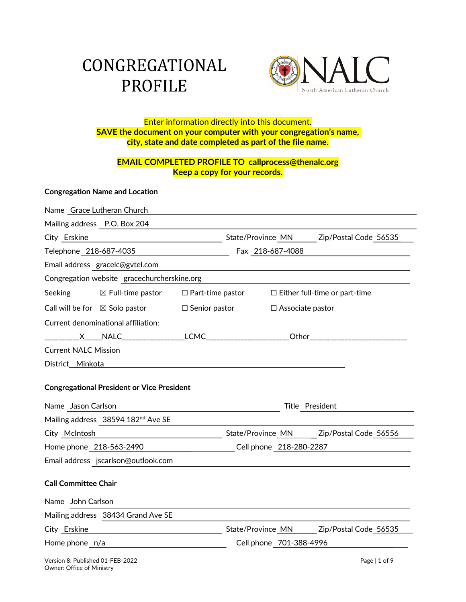# CONGREGATIONAL PROFILE



# Enter information directly into this document. **SAVE the document on your computer with your congregation's name, city, state and date completed as part of the file name.**

# **EMAIL COMPLETED PROFILE TO callprocess@thenalc.org Keep a copy for your records.**

# **Congregation Name and Location**

|                                                                                            | Name Grace Lutheran Church                                    |                         |                         |                                         |  |
|--------------------------------------------------------------------------------------------|---------------------------------------------------------------|-------------------------|-------------------------|-----------------------------------------|--|
|                                                                                            | Mailing address P.O. Box 204                                  |                         |                         |                                         |  |
| City Erskine                                                                               |                                                               |                         |                         | State/Province MN Zip/Postal Code 56535 |  |
|                                                                                            | Telephone 218-687-4035                                        |                         | Fax 218-687-4088        |                                         |  |
| Email address gracelc@gvtel.com                                                            |                                                               |                         |                         |                                         |  |
| Congregation website gracechurcherskine.org                                                |                                                               |                         |                         |                                         |  |
| Seeking                                                                                    | $\boxtimes$ Full-time pastor $\qquad \Box$ Part-time pastor   |                         |                         | $\Box$ Either full-time or part-time    |  |
|                                                                                            | Call will be for $\boxtimes$ Solo pastor                      | $\square$ Senior pastor | $\Box$ Associate pastor |                                         |  |
| Current denominational affiliation:                                                        |                                                               |                         |                         |                                         |  |
|                                                                                            |                                                               |                         |                         |                                         |  |
| <b>Current NALC Mission</b>                                                                |                                                               |                         |                         |                                         |  |
| District_Minkota_                                                                          |                                                               |                         |                         |                                         |  |
| <b>Congregational President or Vice President</b><br>Name Jason Carlson<br>Title President |                                                               |                         |                         |                                         |  |
|                                                                                            | Mailing address 38594 182nd Ave SE                            |                         |                         |                                         |  |
| City McIntosh                                                                              | <u> 1989 - Johann Barn, mars an t-Amerikaansk politiker (</u> |                         |                         | State/Province MN Zip/Postal Code 56556 |  |
| Home phone 218-563-2490                                                                    |                                                               |                         | Cell phone 218-280-2287 |                                         |  |
|                                                                                            | Email address jscarlson@outlook.com                           |                         |                         |                                         |  |
| <b>Call Committee Chair</b>                                                                |                                                               |                         |                         |                                         |  |
| Name John Carlson                                                                          |                                                               |                         |                         |                                         |  |
|                                                                                            | Mailing address 38434 Grand Ave SE                            |                         |                         |                                         |  |
| City Erskine                                                                               | <u> 1989 - Johann Barn, fransk politik fotograf (d. 1989)</u> |                         |                         | State/Province MN Zip/Postal Code 56535 |  |
| Home phone n/a                                                                             |                                                               |                         | Cell phone 701-388-4996 |                                         |  |
| Version 8: Published 01-FEB-2022                                                           |                                                               |                         |                         | Page   1 of 9                           |  |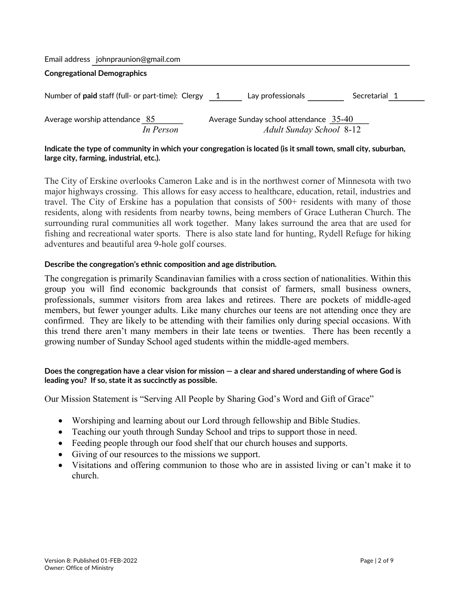|  | Email address johnpraunion@gmail.com |
|--|--------------------------------------|
|--|--------------------------------------|

# **Congregational Demographics**

| Number of <b>paid</b> staff (full- or part-time): Clergy | Lay professionals                                                           | Secretarial 1 |
|----------------------------------------------------------|-----------------------------------------------------------------------------|---------------|
| Average worship attendance $85$<br>In Person             | Average Sunday school attendance $35-40$<br><b>Adult Sunday School 8-12</b> |               |

# **Indicate the type of community in which your congregation is located (is it small town, small city, suburban, large city, farming, industrial, etc.).**

The City of Erskine overlooks Cameron Lake and is in the northwest corner of Minnesota with two major highways crossing. This allows for easy access to healthcare, education, retail, industries and travel. The City of Erskine has a population that consists of 500+ residents with many of those residents, along with residents from nearby towns, being members of Grace Lutheran Church. The surrounding rural communities all work together. Many lakes surround the area that are used for fishing and recreational water sports. There is also state land for hunting, Rydell Refuge for hiking adventures and beautiful area 9-hole golf courses.

# **Describe the congregation's ethnic composition and age distribution.**

The congregation is primarily Scandinavian families with a cross section of nationalities. Within this group you will find economic backgrounds that consist of farmers, small business owners, professionals, summer visitors from area lakes and retirees. There are pockets of middle-aged members, but fewer younger adults. Like many churches our teens are not attending once they are confirmed. They are likely to be attending with their families only during special occasions. With this trend there aren't many members in their late teens or twenties. There has been recently a growing number of Sunday School aged students within the middle-aged members.

# **Does the congregation have a clear vision for mission — a clear and shared understanding of where God is leading you? If so, state it as succinctly as possible.**

Our Mission Statement is "Serving All People by Sharing God's Word and Gift of Grace"

- Worshiping and learning about our Lord through fellowship and Bible Studies.
- Teaching our youth through Sunday School and trips to support those in need.
- Feeding people through our food shelf that our church houses and supports.
- Giving of our resources to the missions we support.
- Visitations and offering communion to those who are in assisted living or can't make it to church.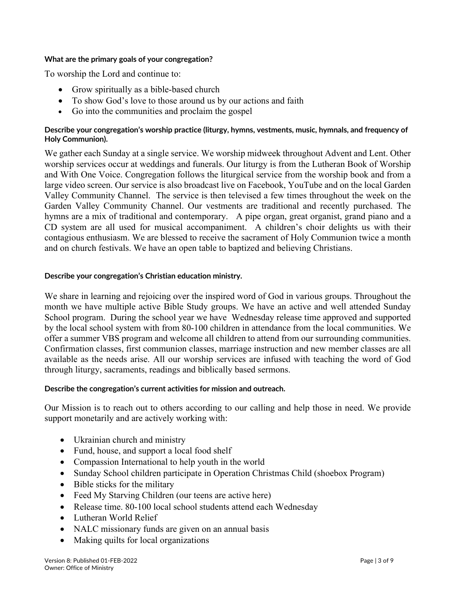# **What are the primary goals of your congregation?**

To worship the Lord and continue to:

- Grow spiritually as a bible-based church
- To show God's love to those around us by our actions and faith
- Go into the communities and proclaim the gospel

# **Describe your congregation's worship practice (liturgy, hymns, vestments, music, hymnals, and frequency of Holy Communion).**

We gather each Sunday at a single service. We worship midweek throughout Advent and Lent. Other worship services occur at weddings and funerals. Our liturgy is from the Lutheran Book of Worship and With One Voice. Congregation follows the liturgical service from the worship book and from a large video screen. Our service is also broadcast live on Facebook, YouTube and on the local Garden Valley Community Channel. The service is then televised a few times throughout the week on the Garden Valley Community Channel. Our vestments are traditional and recently purchased. The hymns are a mix of traditional and contemporary. A pipe organ, great organist, grand piano and a CD system are all used for musical accompaniment. A children's choir delights us with their contagious enthusiasm. We are blessed to receive the sacrament of Holy Communion twice a month and on church festivals. We have an open table to baptized and believing Christians.

# **Describe your congregation's Christian education ministry.**

We share in learning and rejoicing over the inspired word of God in various groups. Throughout the month we have multiple active Bible Study groups. We have an active and well attended Sunday School program. During the school year we have Wednesday release time approved and supported by the local school system with from 80-100 children in attendance from the local communities. We offer a summer VBS program and welcome all children to attend from our surrounding communities. Confirmation classes, first communion classes, marriage instruction and new member classes are all available as the needs arise. All our worship services are infused with teaching the word of God through liturgy, sacraments, readings and biblically based sermons.

# **Describe the congregation's current activities for mission and outreach.**

Our Mission is to reach out to others according to our calling and help those in need. We provide support monetarily and are actively working with:

- Ukrainian church and ministry
- Fund, house, and support a local food shelf
- Compassion International to help youth in the world
- Sunday School children participate in Operation Christmas Child (shoebox Program)
- Bible sticks for the military
- Feed My Starving Children (our teens are active here)
- Release time. 80-100 local school students attend each Wednesday
- Lutheran World Relief
- NALC missionary funds are given on an annual basis
- Making quilts for local organizations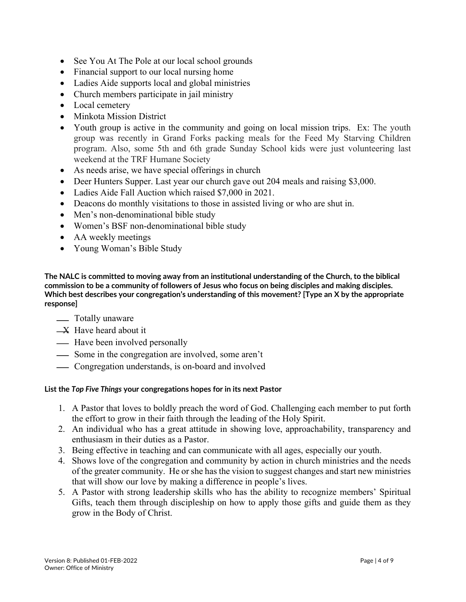- See You At The Pole at our local school grounds
- Financial support to our local nursing home
- Ladies Aide supports local and global ministries
- Church members participate in jail ministry
- Local cemetery
- Minkota Mission District
- Youth group is active in the community and going on local mission trips. Ex: The youth group was recently in Grand Forks packing meals for the Feed My Starving Children program. Also, some 5th and 6th grade Sunday School kids were just volunteering last weekend at the TRF Humane Society
- As needs arise, we have special offerings in church
- Deer Hunters Supper. Last year our church gave out 204 meals and raising \$3,000.
- Ladies Aide Fall Auction which raised \$7,000 in 2021.
- Deacons do monthly visitations to those in assisted living or who are shut in.
- Men's non-denominational bible study
- Women's BSF non-denominational bible study
- AA weekly meetings
- Young Woman's Bible Study

**The NALC is committed to moving away from an institutional understanding of the Church, to the biblical commission to be a community of followers of Jesus who focus on being disciples and making disciples. Which best describes your congregation's understanding of this movement? [Type an X by the appropriate response]**

# <u>—</u> Totally unaware

- $-X$  Have heard about it
- Have been involved personally
- Some in the congregation are involved, some aren't
- Congregation understands, is on-board and involved

# **List the** *Top Five Things* **your congregations hopes for in its next Pastor**

- 1. A Pastor that loves to boldly preach the word of God. Challenging each member to put forth the effort to grow in their faith through the leading of the Holy Spirit.
- 2. An individual who has a great attitude in showing love, approachability, transparency and enthusiasm in their duties as a Pastor.
- 3. Being effective in teaching and can communicate with all ages, especially our youth.
- 4. Shows love of the congregation and community by action in church ministries and the needs of the greater community. He or she has the vision to suggest changes and start new ministries that will show our love by making a difference in people's lives.
- 5. A Pastor with strong leadership skills who has the ability to recognize members' Spiritual Gifts, teach them through discipleship on how to apply those gifts and guide them as they grow in the Body of Christ.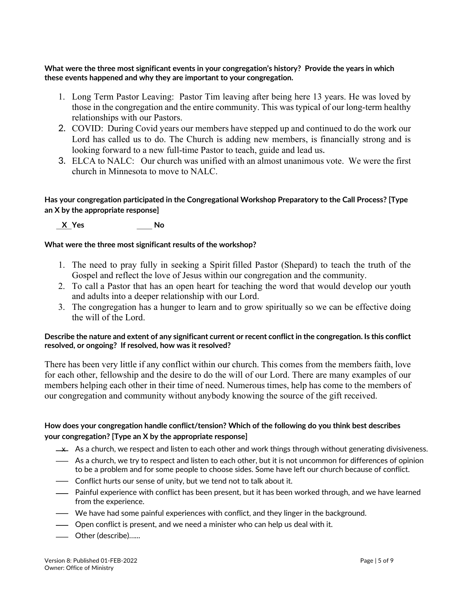**What were the three most significant events in your congregation's history? Provide the years in which these events happened and why they are important to your congregation.**

- 1. Long Term Pastor Leaving: Pastor Tim leaving after being here 13 years. He was loved by those in the congregation and the entire community. This was typical of our long-term healthy relationships with our Pastors.
- 2. COVID: During Covid years our members have stepped up and continued to do the work our Lord has called us to do. The Church is adding new members, is financially strong and is looking forward to a new full-time Pastor to teach, guide and lead us.
- 3. ELCA to NALC: Our church was unified with an almost unanimous vote. We were the first church in Minnesota to move to NALC.

# **Has your congregation participated in the Congregational Workshop Preparatory to the Call Process? [Type an X by the appropriate response]**

 **X Yes No**

# **What were the three most significant results of the workshop?**

- 1. The need to pray fully in seeking a Spirit filled Pastor (Shepard) to teach the truth of the Gospel and reflect the love of Jesus within our congregation and the community.
- 2. To call a Pastor that has an open heart for teaching the word that would develop our youth and adults into a deeper relationship with our Lord.
- 3. The congregation has a hunger to learn and to grow spiritually so we can be effective doing the will of the Lord.

# **Describe the nature and extent of any significant current or recent conflict in the congregation. Is this conflict resolved, or ongoing? If resolved, how was it resolved?**

There has been very little if any conflict within our church. This comes from the members faith, love for each other, fellowship and the desire to do the will of our Lord. There are many examples of our members helping each other in their time of need. Numerous times, help has come to the members of our congregation and community without anybody knowing the source of the gift received.

# **How does your congregation handle conflict/tension? Which of the following do you think best describes your congregation? [Type an X by the appropriate response]**

- $\rightarrow$  As a church, we respect and listen to each other and work things through without generating divisiveness.
- As a church, we try to respect and listen to each other, but it is not uncommon for differences of opinion to be a problem and for some people to choose sides. Some have left our church because of conflict.
- Conflict hurts our sense of unity, but we tend not to talk about it.
- Painful experience with conflict has been present, but it has been worked through, and we have learned from the experience.
- We have had some painful experiences with conflict, and they linger in the background.
- Open conflict is present, and we need a minister who can help us deal with it.
- Other (describe)…...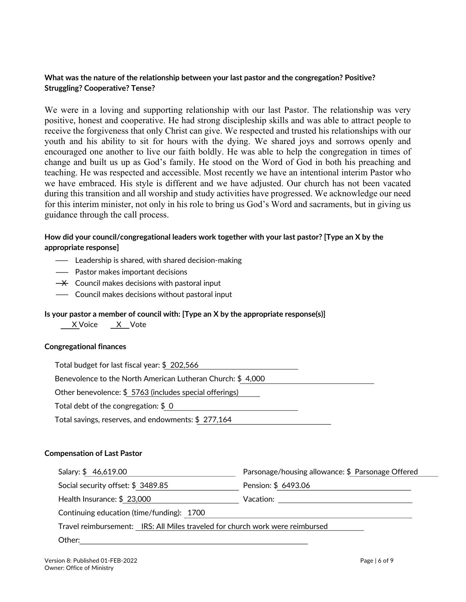# **What was the nature of the relationship between your last pastor and the congregation? Positive? Struggling? Cooperative? Tense?**

We were in a loving and supporting relationship with our last Pastor. The relationship was very positive, honest and cooperative. He had strong discipleship skills and was able to attract people to receive the forgiveness that only Christ can give. We respected and trusted his relationships with our youth and his ability to sit for hours with the dying. We shared joys and sorrows openly and encouraged one another to live our faith boldly. He was able to help the congregation in times of change and built us up as God's family. He stood on the Word of God in both his preaching and teaching. He was respected and accessible. Most recently we have an intentional interim Pastor who we have embraced. His style is different and we have adjusted. Our church has not been vacated during this transition and all worship and study activities have progressed. We acknowledge our need for this interim minister, not only in his role to bring us God's Word and sacraments, but in giving us guidance through the call process.

# **How did your council/congregational leaders work together with your last pastor? [Type an X by the appropriate response]**

- Leadership is shared, with shared decision-making
- Pastor makes important decisions
- $\rightarrow$  Council makes decisions with pastoral input
- Council makes decisions without pastoral input

#### **Is your pastor a member of council with: [Type an X by the appropriate response(s)]**

X Voice X Vote

#### **Congregational finances**

| Total budget for last fiscal year: \$202,566               |  |  |  |  |
|------------------------------------------------------------|--|--|--|--|
| Benevolence to the North American Lutheran Church: \$4,000 |  |  |  |  |
| Other benevolence: \$5763 (includes special offerings)     |  |  |  |  |
| Total debt of the congregation: $$0$                       |  |  |  |  |
| Total savings, reserves, and endowments: \$277,164         |  |  |  |  |

#### **Compensation of Last Pastor**

| Salary: \$46,619.00                                                           | Parsonage/housing allowance: \$ Parsonage Offered |  |  |  |
|-------------------------------------------------------------------------------|---------------------------------------------------|--|--|--|
| Social security offset: \$3489.85                                             | Pension: \$ 6493.06                               |  |  |  |
| Health Insurance: \$23,000                                                    | Vacation:                                         |  |  |  |
| Continuing education (time/funding): 1700                                     |                                                   |  |  |  |
| Travel reimbursement: IRS: All Miles traveled for church work were reimbursed |                                                   |  |  |  |
| Other:                                                                        |                                                   |  |  |  |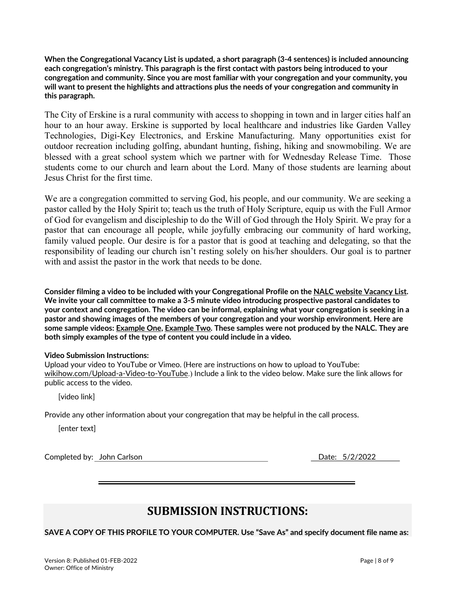**When the Congregational Vacancy List is updated, a short paragraph (3-4 sentences) is included announcing each congregation's ministry. This paragraph is the first contact with pastors being introduced to your congregation and community. Since you are most familiar with your congregation and your community, you will want to present the highlights and attractions plus the needs of your congregation and community in this paragraph.** 

The City of Erskine is a rural community with access to shopping in town and in larger cities half an hour to an hour away. Erskine is supported by local healthcare and industries like Garden Valley Technologies, Digi-Key Electronics, and Erskine Manufacturing. Many opportunities exist for outdoor recreation including golfing, abundant hunting, fishing, hiking and snowmobiling. We are blessed with a great school system which we partner with for Wednesday Release Time. Those students come to our church and learn about the Lord. Many of those students are learning about Jesus Christ for the first time.

We are a congregation committed to serving God, his people, and our community. We are seeking a pastor called by the Holy Spirit to; teach us the truth of Holy Scripture, equip us with the Full Armor of God for evangelism and discipleship to do the Will of God through the Holy Spirit. We pray for a pastor that can encourage all people, while joyfully embracing our community of hard working, family valued people. Our desire is for a pastor that is good at teaching and delegating, so that the responsibility of leading our church isn't resting solely on his/her shoulders. Our goal is to partner with and assist the pastor in the work that needs to be done.

**Consider filming a video to be included with your Congregational Profile on the NALC website Vacancy List. We invite your call committee to make a 3-5 minute video introducing prospective pastoral candidates to your context and congregation. The video can be informal, explaining what your congregation is seeking in a pastor and showing images of the members of your congregation and your worship environment. Here are some sample videos: Example One, Example Two. These samples were not produced by the NALC. They are both simply examples of the type of content you could include in a video.**

# **Video Submission Instructions:**

Upload your video to YouTube or Vimeo. (Here are instructions on how to upload to YouTube: wikihow.com/Upload-a-Video-to-YouTube.) Include a link to the video below. Make sure the link allows for public access to the video.

[video link]

Provide any other information about your congregation that may be helpful in the call process.

[enter text]

Completed by: John Carlson Date: 5/2/2022

# **SUBMISSION INSTRUCTIONS:**

**SAVE A COPY OF THIS PROFILE TO YOUR COMPUTER. Use "Save As" and specify document file name as:**